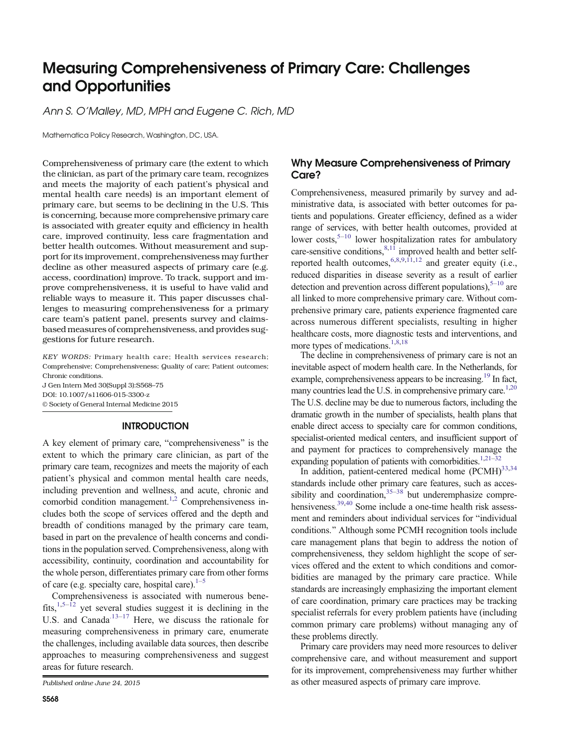# Measuring Comprehensiveness of Primary Care: Challenges and Opportunities

Ann S. O'Malley, MD, MPH and Eugene C. Rich, MD

Mathematica Policy Research, Washington, DC, USA.

Comprehensiveness of primary care (the extent to which the clinician, as part of the primary care team, recognizes and meets the majority of each patient's physical and mental health care needs) is an important element of primary care, but seems to be declining in the U.S. This is concerning, because more comprehensive primary care is associated with greater equity and efficiency in health care, improved continuity, less care fragmentation and better health outcomes. Without measurement and support for its improvement, comprehensiveness may further decline as other measured aspects of primary care (e.g. access, coordination) improve. To track, support and improve comprehensiveness, it is useful to have valid and reliable ways to measure it. This paper discusses challenges to measuring comprehensiveness for a primary care team's patient panel, presents survey and claimsbased measures of comprehensiveness, and provides suggestions for future research.

KEY WORDS: Primary health care; Health services research; Comprehensive; Comprehensiveness; Quality of care; Patient outcomes; Chronic conditions.

J Gen Intern Med 30(Suppl 3):S568–75 DOI: 10.1007/s11606-015-3300-z © Society of General Internal Medicine 2015

### **INTRODUCTION**

A key element of primary care, "comprehensiveness" is the extent to which the primary care clinician, as part of the primary care team, recognizes and meets the majority of each patient's physical and common mental health care needs, including prevention and wellness, and acute, chronic and comorbid condition management.<sup>[1,2](#page-6-0)</sup> Comprehensiveness includes both the scope of services offered and the depth and breadth of conditions managed by the primary care team, based in part on the prevalence of health concerns and conditions in the population served. Comprehensiveness, along with accessibility, continuity, coordination and accountability for the whole person, differentiates primary care from other forms of care (e.g. specialty care, hospital care). $1-5$  $1-5$  $1-5$ 

Comprehensiveness is associated with numerous benefits,  $1,5-12$  $1,5-12$  yet several studies suggest it is declining in the U.S. and Canada<sup>[.13](#page-6-0)–[17](#page-6-0)</sup> Here, we discuss the rationale for measuring comprehensiveness in primary care, enumerate the challenges, including available data sources, then describe approaches to measuring comprehensiveness and suggest areas for future research.

# Why Measure Comprehensiveness of Primary Care?

Comprehensiveness, measured primarily by survey and administrative data, is associated with better outcomes for patients and populations. Greater efficiency, defined as a wider range of services, with better health outcomes, provided at lower costs,  $5-10$  $5-10$  $5-10$  lower hospitalization rates for ambulatory care-sensitive conditions,<sup>8,[11](#page-6-0)</sup> improved health and better selfreported health outcomes,  $6,8,9,11,12$  $6,8,9,11,12$  and greater equity (i.e., reduced disparities in disease severity as a result of earlier detection and prevention across different populations),  $5-10$  $5-10$  are all linked to more comprehensive primary care. Without comprehensive primary care, patients experience fragmented care across numerous different specialists, resulting in higher healthcare costs, more diagnostic tests and interventions, and more types of medications.<sup>1,8,18</sup>

The decline in comprehensiveness of primary care is not an inevitable aspect of modern health care. In the Netherlands, for example, comprehensiveness appears to be increasing.<sup>[19](#page-6-0)</sup> In fact, many countries lead the U.S. in comprehensive primary care.<sup>[1,20](#page-6-0)</sup> The U.S. decline may be due to numerous factors, including the dramatic growth in the number of specialists, health plans that enable direct access to specialty care for common conditions, specialist-oriented medical centers, and insufficient support of and payment for practices to comprehensively manage the expanding population of patients with comorbidities.<sup>[1,21](#page-6-0)–[32](#page-6-0)</sup>

In addition, patient-centered medical home (PCMH)<sup>[33,34](#page-6-0)</sup> standards include other primary care features, such as accessibility and coordination,  $35-38$  $35-38$  $35-38$  but underemphasize comprehensiveness.[39,40](#page-7-0) Some include a one-time health risk assessment and reminders about individual services for "individual conditions.^ Although some PCMH recognition tools include care management plans that begin to address the notion of comprehensiveness, they seldom highlight the scope of services offered and the extent to which conditions and comorbidities are managed by the primary care practice. While standards are increasingly emphasizing the important element of care coordination, primary care practices may be tracking specialist referrals for every problem patients have (including common primary care problems) without managing any of these problems directly.

Primary care providers may need more resources to deliver comprehensive care, and without measurement and support for its improvement, comprehensiveness may further whither Published online June 24, 2015 as other measured aspects of primary care improve.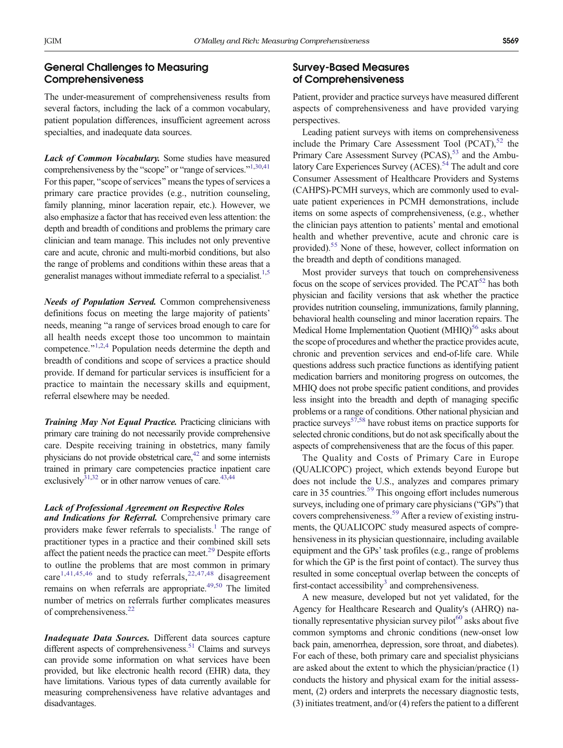# General Challenges to Measuring Comprehensiveness

The under-measurement of comprehensiveness results from several factors, including the lack of a common vocabulary, patient population differences, insufficient agreement across specialties, and inadequate data sources.

Lack of Common Vocabulary. Some studies have measured comprehensiveness by the "scope" or "range of services."<sup>[1](#page-6-0),[30,](#page-6-0)[41](#page-7-0)</sup> For this paper, "scope of services" means the types of services a primary care practice provides (e.g., nutrition counseling, family planning, minor laceration repair, etc.). However, we also emphasize a factor that has received even less attention: the depth and breadth of conditions and problems the primary care clinician and team manage. This includes not only preventive care and acute, chronic and multi-morbid conditions, but also the range of problems and conditions within these areas that a generalist manages without immediate referral to a specialist.<sup>1,5</sup>

Needs of Population Served. Common comprehensiveness definitions focus on meeting the large majority of patients' needs, meaning "a range of services broad enough to care for all health needs except those too uncommon to maintain competence. $n^{1,2,4}$  $n^{1,2,4}$  $n^{1,2,4}$  $n^{1,2,4}$  $n^{1,2,4}$  Population needs determine the depth and breadth of conditions and scope of services a practice should provide. If demand for particular services is insufficient for a practice to maintain the necessary skills and equipment, referral elsewhere may be needed.

Training May Not Equal Practice. Practicing clinicians with primary care training do not necessarily provide comprehensive care. Despite receiving training in obstetrics, many family physicians do not provide obstetrical care, $42$  and some internists trained in primary care competencies practice inpatient care exclusively $3^{31,32}$  $3^{31,32}$  $3^{31,32}$  or in other narrow venues of care.<sup>43,[44](#page-7-0)</sup>

### Lack of Professional Agreement on Respective Roles

and Indications for Referral. Comprehensive primary care providers make fewer referrals to specialists.<sup>1</sup> The range of practitioner types in a practice and their combined skill sets affect the patient needs the practice can meet[.29](#page-6-0) Despite efforts to outline the problems that are most common in primary care<sup>[1,](#page-6-0)[41,45,46](#page-7-0)</sup> and to study referrals,<sup>[22,](#page-6-0)[47,48](#page-7-0)</sup> disagreement remains on when referrals are appropriate.<sup>[49](#page-7-0),[50](#page-7-0)</sup> The limited number of metrics on referrals further complicates measures of comprehensiveness[.22](#page-6-0)

Inadequate Data Sources. Different data sources capture different aspects of comprehensiveness.<sup>51</sup> Claims and surveys can provide some information on what services have been provided, but like electronic health record (EHR) data, they have limitations. Various types of data currently available for measuring comprehensiveness have relative advantages and disadvantages.

# Survey-Based Measures of Comprehensiveness

Patient, provider and practice surveys have measured different aspects of comprehensiveness and have provided varying perspectives.

Leading patient surveys with items on comprehensiveness include the Primary Care Assessment Tool (PCAT), $52$  the Primary Care Assessment Survey (PCAS),<sup>53</sup> and the Ambu-latory Care Experiences Survey (ACES).<sup>[54](#page-7-0)</sup> The adult and core Consumer Assessment of Healthcare Providers and Systems (CAHPS)-PCMH surveys, which are commonly used to evaluate patient experiences in PCMH demonstrations, include items on some aspects of comprehensiveness, (e.g., whether the clinician pays attention to patients' mental and emotional health and whether preventive, acute and chronic care is provided)[.55](#page-7-0) None of these, however, collect information on the breadth and depth of conditions managed.

Most provider surveys that touch on comprehensiveness focus on the scope of services provided. The  $PCAT^{52}$  $PCAT^{52}$  $PCAT^{52}$  has both physician and facility versions that ask whether the practice provides nutrition counseling, immunizations, family planning, behavioral health counseling and minor laceration repairs. The Medical Home Implementation Quotient  $(MHIQ)$ <sup>56</sup> asks about the scope of procedures and whether the practice provides acute, chronic and prevention services and end-of-life care. While questions address such practice functions as identifying patient medication barriers and monitoring progress on outcomes, the MHIQ does not probe specific patient conditions, and provides less insight into the breadth and depth of managing specific problems or a range of conditions. Other national physician and practice surveys $57,58$  have robust items on practice supports for selected chronic conditions, but do not ask specifically about the aspects of comprehensiveness that are the focus of this paper.

The Quality and Costs of Primary Care in Europe (QUALICOPC) project, which extends beyond Europe but does not include the U.S., analyzes and compares primary care in 35 countries.<sup>59</sup> This ongoing effort includes numerous surveys, including one of primary care physicians ("GPs") that covers comprehensiveness.[59](#page-7-0) After a review of existing instruments, the QUALICOPC study measured aspects of comprehensiveness in its physician questionnaire, including available equipment and the GPs' task profiles (e.g., range of problems for which the GP is the first point of contact). The survey thus resulted in some conceptual overlap between the concepts of first-contact accessibility<sup>3</sup> and comprehensiveness.

A new measure, developed but not yet validated, for the Agency for Healthcare Research and Quality's (AHRQ) nationally representative physician survey pilot $^{60}$  asks about five common symptoms and chronic conditions (new-onset low back pain, amenorrhea, depression, sore throat, and diabetes). For each of these, both primary care and specialist physicians are asked about the extent to which the physician/practice (1) conducts the history and physical exam for the initial assessment, (2) orders and interprets the necessary diagnostic tests, (3) initiates treatment, and/or (4) refers the patient to a different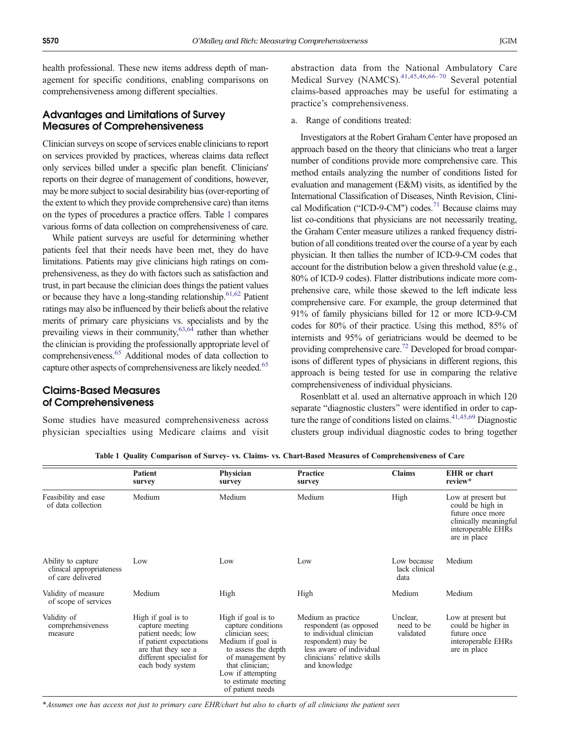health professional. These new items address depth of management for specific conditions, enabling comparisons on comprehensiveness among different specialties.

### Advantages and Limitations of Survey Measures of Comprehensiveness

Clinician surveys on scope of services enable clinicians to report on services provided by practices, whereas claims data reflect only services billed under a specific plan benefit. Clinicians' reports on their degree of management of conditions, however, may be more subject to social desirability bias (over-reporting of the extent to which they provide comprehensive care) than items on the types of procedures a practice offers. Table 1 compares various forms of data collection on comprehensiveness of care.

While patient surveys are useful for determining whether patients feel that their needs have been met, they do have limitations. Patients may give clinicians high ratings on comprehensiveness, as they do with factors such as satisfaction and trust, in part because the clinician does things the patient values or because they have a long-standing relationship.<sup>61,62</sup> Patient ratings may also be influenced by their beliefs about the relative merits of primary care physicians vs. specialists and by the prevailing views in their community,  $63,64$  $63,64$  rather than whether the clinician is providing the professionally appropriate level of comprehensiveness.<sup>65</sup> Additional modes of data collection to capture other aspects of comprehensiveness are likely needed.<sup>[65](#page-7-0)</sup>

### Claims-Based Measures of Comprehensiveness

Some studies have measured comprehensiveness across physician specialties using Medicare claims and visit abstraction data from the National Ambulatory Care Medical Survey (NAMCS).<sup>[41,45,46,66](#page-7-0)–[70](#page-7-0)</sup> Several potential claims-based approaches may be useful for estimating a practice's comprehensiveness.

#### a. Range of conditions treated:

Investigators at the Robert Graham Center have proposed an approach based on the theory that clinicians who treat a larger number of conditions provide more comprehensive care. This method entails analyzing the number of conditions listed for evaluation and management (E&M) visits, as identified by the International Classification of Diseases, Ninth Revision, Clinical Modification ("ICD-9-CM") codes.<sup>71</sup> Because claims may list co-conditions that physicians are not necessarily treating, the Graham Center measure utilizes a ranked frequency distribution of all conditions treated over the course of a year by each physician. It then tallies the number of ICD-9-CM codes that account for the distribution below a given threshold value (e.g., 80% of ICD-9 codes). Flatter distributions indicate more comprehensive care, while those skewed to the left indicate less comprehensive care. For example, the group determined that 91% of family physicians billed for 12 or more ICD-9-CM codes for 80% of their practice. Using this method, 85% of internists and 95% of geriatricians would be deemed to be providing comprehensive care[.72](#page-7-0) Developed for broad comparisons of different types of physicians in different regions, this approach is being tested for use in comparing the relative comprehensiveness of individual physicians.

Rosenblatt et al. used an alternative approach in which 120 separate "diagnostic clusters" were identified in order to capture the range of conditions listed on claims. $41,45,69$  Diagnostic clusters group individual diagnostic codes to bring together

|                                                                     | <b>Patient</b><br>survey                                                                                                                                      | Physician<br>survey                                                                                                                                                                                            | <b>Practice</b><br>survey                                                                                                                                                  | <b>Claims</b>                        | <b>EHR</b> or chart<br>review*                                                                                            |
|---------------------------------------------------------------------|---------------------------------------------------------------------------------------------------------------------------------------------------------------|----------------------------------------------------------------------------------------------------------------------------------------------------------------------------------------------------------------|----------------------------------------------------------------------------------------------------------------------------------------------------------------------------|--------------------------------------|---------------------------------------------------------------------------------------------------------------------------|
| Feasibility and ease<br>of data collection                          | Medium                                                                                                                                                        | Medium                                                                                                                                                                                                         | Medium                                                                                                                                                                     | High                                 | Low at present but<br>could be high in<br>future once more<br>clinically meaningful<br>interoperable EHRs<br>are in place |
| Ability to capture<br>clinical appropriateness<br>of care delivered | Low                                                                                                                                                           | Low                                                                                                                                                                                                            | Low                                                                                                                                                                        | Low because<br>lack clinical<br>data | Medium                                                                                                                    |
| Validity of measure<br>of scope of services                         | Medium                                                                                                                                                        | High                                                                                                                                                                                                           | High                                                                                                                                                                       | Medium                               | Medium                                                                                                                    |
| Validity of<br>comprehensiveness<br>measure                         | High if goal is to<br>capture meeting<br>patient needs; low<br>if patient expectations<br>are that they see a<br>different specialist for<br>each body system | High if goal is to<br>capture conditions<br>clinician sees;<br>Medium if goal is<br>to assess the depth<br>of management by<br>that clinician:<br>Low if attempting<br>to estimate meeting<br>of patient needs | Medium as practice.<br>respondent (as opposed<br>to individual clinician<br>respondent) may be<br>less aware of individual<br>clinicians' relative skills<br>and knowledge | Unclear,<br>need to be<br>validated  | Low at present but<br>could be higher in<br>future once<br>interoperable EHRs<br>are in place                             |

Table 1 Quality Comparison of Survey- vs. Claims- vs. Chart-Based Measures of Comprehensiveness of Care

\*Assumes one has access not just to primary care EHR/chart but also to charts of all clinicians the patient sees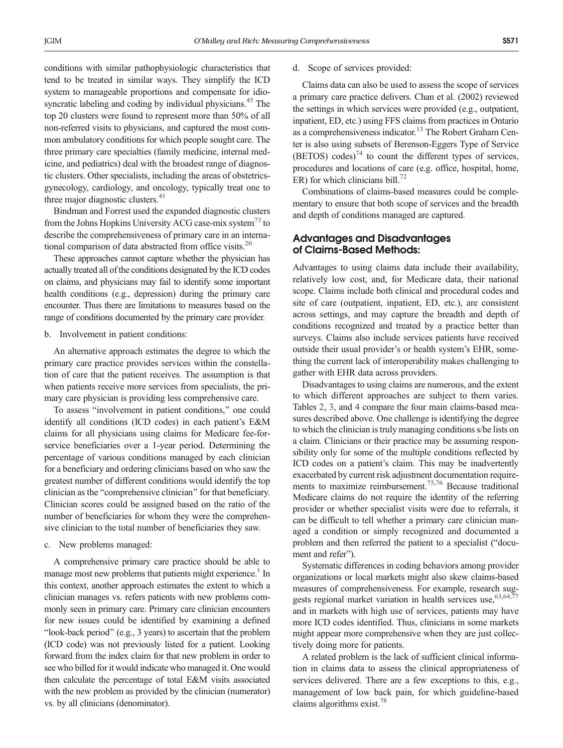conditions with similar pathophysiologic characteristics that tend to be treated in similar ways. They simplify the ICD system to manageable proportions and compensate for idiosyncratic labeling and coding by individual physicians.<sup>45</sup> The top 20 clusters were found to represent more than 50% of all non-referred visits to physicians, and captured the most common ambulatory conditions for which people sought care. The three primary care specialties (family medicine, internal medicine, and pediatrics) deal with the broadest range of diagnostic clusters. Other specialists, including the areas of obstetricsgynecology, cardiology, and oncology, typically treat one to three major diagnostic clusters. $41$ 

Bindman and Forrest used the expanded diagnostic clusters from the Johns Hopkins University ACG case-mix system<sup>73</sup> to describe the comprehensiveness of primary care in an international comparison of data abstracted from office visits.<sup>20</sup>

These approaches cannot capture whether the physician has actually treated all of the conditions designated by the ICD codes on claims, and physicians may fail to identify some important health conditions (e.g., depression) during the primary care encounter. Thus there are limitations to measures based on the range of conditions documented by the primary care provider.

b. Involvement in patient conditions:

An alternative approach estimates the degree to which the primary care practice provides services within the constellation of care that the patient receives. The assumption is that when patients receive more services from specialists, the primary care physician is providing less comprehensive care.

To assess "involvement in patient conditions," one could identify all conditions (ICD codes) in each patient's E&M claims for all physicians using claims for Medicare fee-forservice beneficiaries over a 1-year period. Determining the percentage of various conditions managed by each clinician for a beneficiary and ordering clinicians based on who saw the greatest number of different conditions would identify the top clinician as the "comprehensive clinician" for that beneficiary. Clinician scores could be assigned based on the ratio of the number of beneficiaries for whom they were the comprehensive clinician to the total number of beneficiaries they saw.

#### c. New problems managed:

A comprehensive primary care practice should be able to manage most new problems that patients might experience.<sup>1</sup> In this context, another approach estimates the extent to which a clinician manages vs. refers patients with new problems commonly seen in primary care. Primary care clinician encounters for new issues could be identified by examining a defined "look-back period" (e.g.,  $3$  years) to ascertain that the problem (ICD code) was not previously listed for a patient. Looking forward from the index claim for that new problem in order to see who billed for it would indicate who managed it. One would then calculate the percentage of total E&M visits associated with the new problem as provided by the clinician (numerator) vs. by all clinicians (denominator).

#### d. Scope of services provided:

Claims data can also be used to assess the scope of services a primary care practice delivers. Chan et al. (2002) reviewed the settings in which services were provided (e.g., outpatient, inpatient, ED, etc.) using FFS claims from practices in Ontario as a comprehensiveness indicator.<sup>[13](#page-6-0)</sup> The Robert Graham Center is also using subsets of Berenson-Eggers Type of Service (BETOS) codes)<sup>74</sup> to count the different types of services, procedures and locations of care (e.g. office, hospital, home, ER) for which clinicians bill.<sup>72</sup>

Combinations of claims-based measures could be complementary to ensure that both scope of services and the breadth and depth of conditions managed are captured.

### Advantages and Disadvantages of Claims-Based Methods:

Advantages to using claims data include their availability, relatively low cost, and, for Medicare data, their national scope. Claims include both clinical and procedural codes and site of care (outpatient, inpatient, ED, etc.), are consistent across settings, and may capture the breadth and depth of conditions recognized and treated by a practice better than surveys. Claims also include services patients have received outside their usual provider's or health system's EHR, something the current lack of interoperability makes challenging to gather with EHR data across providers.

Disadvantages to using claims are numerous, and the extent to which different approaches are subject to them varies. Tables [2,](#page-4-0) [3](#page-4-0), and [4](#page-5-0) compare the four main claims-based measures described above. One challenge is identifying the degree to which the clinician is truly managing conditions s/he lists on a claim. Clinicians or their practice may be assuming responsibility only for some of the multiple conditions reflected by ICD codes on a patient's claim. This may be inadvertently exacerbated by current risk adjustment documentation requirements to maximize reimbursement.<sup>75,76</sup> Because traditional Medicare claims do not require the identity of the referring provider or whether specialist visits were due to referrals, it can be difficult to tell whether a primary care clinician managed a condition or simply recognized and documented a problem and then referred the patient to a specialist ("document and refer").

Systematic differences in coding behaviors among provider organizations or local markets might also skew claims-based measures of comprehensiveness. For example, research suggests regional market variation in health services use,  $63,64,77$ and in markets with high use of services, patients may have more ICD codes identified. Thus, clinicians in some markets might appear more comprehensive when they are just collectively doing more for patients.

A related problem is the lack of sufficient clinical information in claims data to assess the clinical appropriateness of services delivered. There are a few exceptions to this, e.g., management of low back pain, for which guideline-based claims algorithms exist[.78](#page-7-0)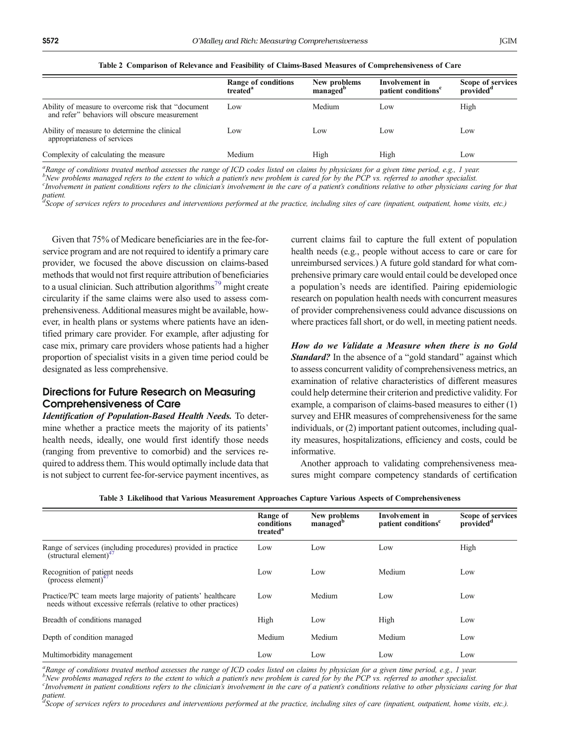<span id="page-4-0"></span>

|                                                                                                      | Range of conditions<br>treated <sup>a</sup> | New problems<br>managed <sup>b</sup> | Involvement in<br>patient conditions <sup>c</sup> | Scope of services<br>provided <sup>a</sup> |
|------------------------------------------------------------------------------------------------------|---------------------------------------------|--------------------------------------|---------------------------------------------------|--------------------------------------------|
| Ability of measure to overcome risk that "document"<br>and refer" behaviors will obscure measurement | Low                                         | Medium                               | Low                                               | High                                       |
| Ability of measure to determine the clinical<br>appropriateness of services                          | Low                                         | Low                                  | Low                                               | Low                                        |
| Complexity of calculating the measure                                                                | Medium                                      | High                                 | High                                              | Low                                        |

Table 2 Comparison of Relevance and Feasibility of Claims-Based Measures of Comprehensiveness of Care

a<br>Range of conditions treated method assesses the range of ICD codes listed on claims by physicians for a given time period, e.g., 1 year.

 $b$ New problems managed refers to the extent to which a patient's new problem is cared for by the PCP vs. referred to another specialist.<br>Elmography is natient conditions refers to the clinician's implyement in the care o

 ${}^{c}$ Involvement in patient conditions refers to the clinician's involvement in the care of a patient's conditions relative to other physicians caring for that

patient.<br><sup>d</sup>Scope of services refers to procedures and interventions performed at the practice, including sites of care (inpatient, outpatient, home visits, etc.)

Given that 75% of Medicare beneficiaries are in the fee-forservice program and are not required to identify a primary care provider, we focused the above discussion on claims-based methods that would not first require attribution of beneficiaries to a usual clinician. Such attribution algorithms<sup>79</sup> might create circularity if the same claims were also used to assess comprehensiveness. Additional measures might be available, however, in health plans or systems where patients have an identified primary care provider. For example, after adjusting for case mix, primary care providers whose patients had a higher proportion of specialist visits in a given time period could be designated as less comprehensive.

# Directions for Future Research on Measuring Comprehensiveness of Care

Identification of Population-Based Health Needs. To determine whether a practice meets the majority of its patients' health needs, ideally, one would first identify those needs (ranging from preventive to comorbid) and the services required to address them. This would optimally include data that is not subject to current fee-for-service payment incentives, as current claims fail to capture the full extent of population health needs (e.g., people without access to care or care for unreimbursed services.) A future gold standard for what comprehensive primary care would entail could be developed once a population's needs are identified. Pairing epidemiologic research on population health needs with concurrent measures of provider comprehensiveness could advance discussions on where practices fall short, or do well, in meeting patient needs.

How do we Validate a Measure when there is no Gold **Standard?** In the absence of a "gold standard" against which to assess concurrent validity of comprehensiveness metrics, an examination of relative characteristics of different measures could help determine their criterion and predictive validity. For example, a comparison of claims-based measures to either (1) survey and EHR measures of comprehensiveness for the same individuals, or (2) important patient outcomes, including quality measures, hospitalizations, efficiency and costs, could be informative.

Another approach to validating comprehensiveness measures might compare competency standards of certification

|                                                                                                                                  | Range of<br>conditions<br>treated <sup>a</sup> | New problems<br>managed <sup>b</sup> | <b>Involvement</b> in<br>patient conditions <sup>c</sup> | Scope of services<br>provided <sup>a</sup> |
|----------------------------------------------------------------------------------------------------------------------------------|------------------------------------------------|--------------------------------------|----------------------------------------------------------|--------------------------------------------|
| Range of services (including procedures) provided in practice<br>(structural element) <sup>47</sup>                              | Low                                            | Low                                  | Low                                                      | High                                       |
| Recognition of patient needs<br>(process element) $47$                                                                           | Low                                            | Low                                  | Medium                                                   | Low                                        |
| Practice/PC team meets large majority of patients' healthcare<br>needs without excessive referrals (relative to other practices) | Low                                            | Medium                               | Low                                                      | Low                                        |
| Breadth of conditions managed                                                                                                    | High                                           | Low                                  | High                                                     | Low                                        |
| Depth of condition managed                                                                                                       | Medium                                         | Medium                               | Medium                                                   | Low                                        |
| Multimorbidity management                                                                                                        | Low                                            | Low                                  | Low                                                      | Low                                        |

Table 3 Likelihood that Various Measurement Approaches Capture Various Aspects of Comprehensiveness

a<br>Range of conditions treated method assesses the range of ICD codes listed on claims by physician for a given time period, e.g., 1 year.  $b$ New problems managed refers to the extent to which a patient's new problem is cared for by the PCP vs. referred to another specialist.<br>Involvement in natient conditions refers to the eliminim's implyement in the ears o Involvement in patient conditions refers to the clinician's involvement in the care of a patient's conditions relative to other physicians caring for that

patient.

<sup>d</sup>Scope of services refers to procedures and interventions performed at the practice, including sites of care (inpatient, outpatient, home visits, etc.).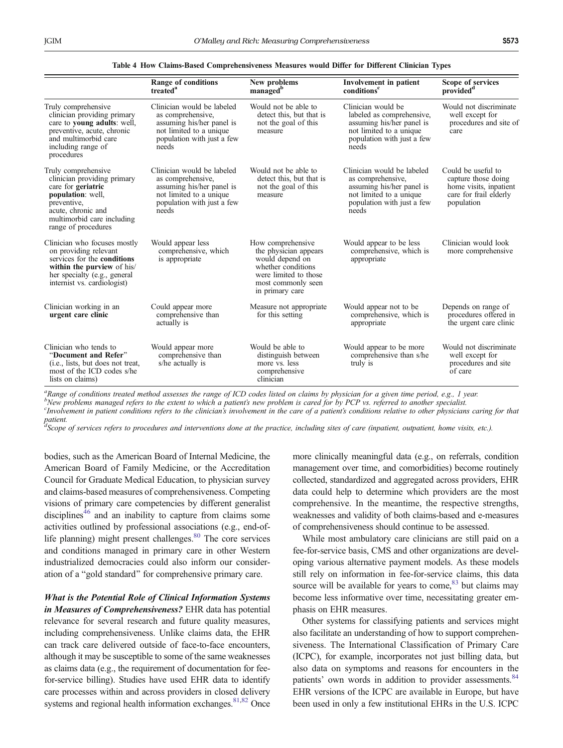<span id="page-5-0"></span>

|                                                                                                                                                                                         | <b>Range of conditions</b><br>treated <sup>a</sup>                                                                                             | New problems<br>managed <sup>b</sup>                                                                                                                  | Involvement in patient<br>conditions <sup>c</sup>                                                                                              | Scope of services<br>provided <sup>d</sup>                                                                  |
|-----------------------------------------------------------------------------------------------------------------------------------------------------------------------------------------|------------------------------------------------------------------------------------------------------------------------------------------------|-------------------------------------------------------------------------------------------------------------------------------------------------------|------------------------------------------------------------------------------------------------------------------------------------------------|-------------------------------------------------------------------------------------------------------------|
| Truly comprehensive<br>clinician providing primary<br>care to young adults: well,<br>preventive, acute, chronic<br>and multimorbid care<br>including range of<br>procedures             | Clinician would be labeled<br>as comprehensive.<br>assuming his/her panel is<br>not limited to a unique<br>population with just a few<br>needs | Would not be able to<br>detect this, but that is<br>not the goal of this<br>measure                                                                   | Clinician would be<br>labeled as comprehensive,<br>assuming his/her panel is<br>not limited to a unique<br>population with just a few<br>needs | Would not discriminate<br>well except for<br>procedures and site of<br>care                                 |
| Truly comprehensive<br>clinician providing primary<br>care for geriatric<br>population: well,<br>preventive,<br>acute, chronic and<br>multimorbid care including<br>range of procedures | Clinician would be labeled<br>as comprehensive.<br>assuming his/her panel is<br>not limited to a unique<br>population with just a few<br>needs | Would not be able to<br>detect this, but that is<br>not the goal of this<br>measure                                                                   | Clinician would be labeled<br>as comprehensive,<br>assuming his/her panel is<br>not limited to a unique<br>population with just a few<br>needs | Could be useful to<br>capture those doing<br>home visits, inpatient<br>care for frail elderly<br>population |
| Clinician who focuses mostly<br>on providing relevant<br>services for the conditions<br>within the purview of his/<br>her specialty (e.g., general<br>internist vs. cardiologist)       | Would appear less<br>comprehensive, which<br>is appropriate                                                                                    | How comprehensive<br>the physician appears<br>would depend on<br>whether conditions<br>were limited to those<br>most commonly seen<br>in primary care | Would appear to be less<br>comprehensive, which is<br>appropriate                                                                              | Clinician would look<br>more comprehensive                                                                  |
| Clinician working in an<br>urgent care clinic                                                                                                                                           | Could appear more<br>comprehensive than<br>actually is                                                                                         | Measure not appropriate.<br>for this setting                                                                                                          | Would appear not to be<br>comprehensive, which is<br>appropriate                                                                               | Depends on range of<br>procedures offered in<br>the urgent care clinic                                      |
| Clinician who tends to<br>"Document and Refer"<br>(i.e., lists, but does not treat,<br>most of the ICD codes s/he<br>lists on claims)                                                   | Would appear more<br>comprehensive than<br>s/he actually is                                                                                    | Would be able to<br>distinguish between<br>more vs. less<br>comprehensive<br>clinician                                                                | Would appear to be more<br>comprehensive than s/he<br>truly is                                                                                 | Would not discriminate<br>well except for<br>procedures and site<br>of care                                 |

Table 4 How Claims-Based Comprehensiveness Measures would Differ for Different Clinician Types

a Range of conditions treated method assesses the range of ICD codes listed on claims by physician for a given time period, e.g., 1 year. <sup>b</sup>New problems managed refers to the extent to which a patient's new problem is cared for by PCP vs. referred to another specialist.<br>Fluxolyment in patient conditions refers to the clinician's involvement in the care of  $c$ Involvement in patient conditions refers to the clinician's involvement in the care of a patient's conditions relative to other physicians caring for that

patient.<br><sup>d</sup>Scope of services refers to procedures and interventions done at the practice, including sites of care (inpatient, outpatient, home visits, etc.).

bodies, such as the American Board of Internal Medicine, the American Board of Family Medicine, or the Accreditation Council for Graduate Medical Education, to physician survey and claims-based measures of comprehensiveness. Competing visions of primary care competencies by different generalist disciplines<sup>46</sup> and an inability to capture from claims some activities outlined by professional associations (e.g., end-oflife planning) might present challenges. $80$  The core services and conditions managed in primary care in other Western industrialized democracies could also inform our consideration of a "gold standard" for comprehensive primary care.

What is the Potential Role of Clinical Information Systems in Measures of Comprehensiveness? EHR data has potential relevance for several research and future quality measures, including comprehensiveness. Unlike claims data, the EHR can track care delivered outside of face-to-face encounters, although it may be susceptible to some of the same weaknesses as claims data (e.g., the requirement of documentation for feefor-service billing). Studies have used EHR data to identify care processes within and across providers in closed delivery systems and regional health information exchanges.<sup>[81,82](#page-7-0)</sup> Once more clinically meaningful data (e.g., on referrals, condition management over time, and comorbidities) become routinely collected, standardized and aggregated across providers, EHR data could help to determine which providers are the most comprehensive. In the meantime, the respective strengths, weaknesses and validity of both claims-based and e-measures of comprehensiveness should continue to be assessed.

While most ambulatory care clinicians are still paid on a fee-for-service basis, CMS and other organizations are developing various alternative payment models. As these models still rely on information in fee-for-service claims, this data source will be available for years to come,  $83$  but claims may become less informative over time, necessitating greater emphasis on EHR measures.

Other systems for classifying patients and services might also facilitate an understanding of how to support comprehensiveness. The International Classification of Primary Care (ICPC), for example, incorporates not just billing data, but also data on symptoms and reasons for encounters in the patients' own words in addition to provider assessments.<sup>[84](#page-7-0)</sup> EHR versions of the ICPC are available in Europe, but have been used in only a few institutional EHRs in the U.S. ICPC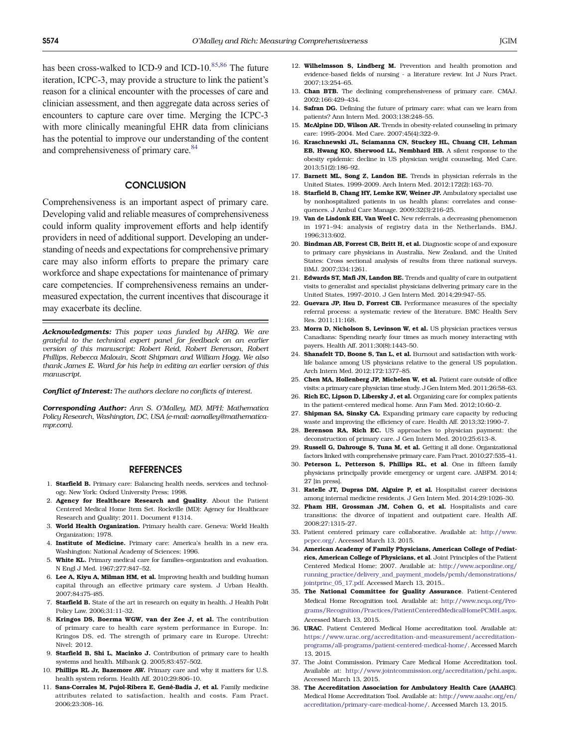<span id="page-6-0"></span>has been cross-walked to ICD-9 and ICD-10.<sup>[85,86](#page-7-0)</sup> The future iteration, ICPC-3, may provide a structure to link the patient's reason for a clinical encounter with the processes of care and clinician assessment, and then aggregate data across series of encounters to capture care over time. Merging the ICPC-3 with more clinically meaningful EHR data from clinicians has the potential to improve our understanding of the content and comprehensiveness of primary care.<sup>84</sup>

### **CONCLUSION**

Comprehensiveness is an important aspect of primary care. Developing valid and reliable measures of comprehensiveness could inform quality improvement efforts and help identify providers in need of additional support. Developing an understanding of needs and expectations for comprehensive primary care may also inform efforts to prepare the primary care workforce and shape expectations for maintenance of primary care competencies. If comprehensiveness remains an undermeasured expectation, the current incentives that discourage it may exacerbate its decline.

Acknowledgments: This paper was funded by AHRQ. We are grateful to the technical expert panel for feedback on an earlier version of this manuscript: Robert Reid, Robert Berenson, Robert Phillips, Rebecca Malouin, Scott Shipman and William Hogg. We also thank James E. Ward for his help in editing an earlier version of this manuscript.

Conflict of Interest: The authors declare no conflicts of interest.

Corresponding Author: Ann S. O'Malley, MD, MPH; Mathematica Policy Research, Washington, DC, USA (e-mail: aomalley@mathematicampr.com).

#### **REFERENCES**

- 1. Starfield B. Primary care: Balancing health needs, services and technology. New York: Oxford University Press; 1998.
- 2. Agency for Healthcare Research and Quality. About the Patient Centered Medical Home Item Set. Rockville (MD): Agency for Healthcare Research and Quality; 2011. Document #1314.
- 3. World Health Organization. Primary health care. Geneva: World Health Organization; 1978.
- 4. Institute of Medicine. Primary care: America's health in a new era. Washington: National Academy of Sciences; 1996.
- 5. White KL. Primary medical care for families–organization and evaluation. N Engl J Med. 1967;277:847–52.
- 6. Lee A, Kiyu A, Milman HM, et al. Improving health and building human capital through an effective primary care system. J Urban Health. 2007;84:i75–i85.
- 7. Starfield B. State of the art in research on equity in health. J Health Polit Policy Law. 2006;31:11–32.
- 8. Kringos DS, Boerma WGW, van der Zee J, et al. The contribution of primary care to health care system performance in Europe. In: Kringos DS, ed. The strength of primary care in Europe. Utrecht: Nivel; 2012.
- 9. Starfield B, Shi L, Macinko J. Contribution of primary care to health systems and health. Milbank Q. 2005;83:457–502.
- 10. Phillips RL Jr, Bazemore AW. Primary care and why it matters for U.S. health system reform. Health Aff. 2010;29:806–10.
- 11. Sans-Corrales M, Pujol-Ribera E, Gené-Badia J, et al. Family medicine attributes related to satisfaction, health and costs. Fam Pract. 2006;23:308–16.
- 12. Wilhelmsson S, Lindberg M. Prevention and health promotion and evidence-based fields of nursing - a literature review. Int J Nurs Pract. 2007;13:254–65.
- 13. Chan BTB. The declining comprehensiveness of primary care. CMAJ. 2002;166:429–434.
- 14. Safran DG. Defining the future of primary care: what can we learn from patients? Ann Intern Med. 2003;138:248–55.
- 15. McAlpine DD, Wilson AR. Trends in obesity-related counseling in primary care: 1995–2004. Med Care. 2007;45(4):322–9.
- 16. Kraschnewski JL, Sciamanna CN, Stuckey HL, Chuang CH, Lehman EB, Hwang KO, Sherwood LL, Nembhard HB. A silent response to the obesity epidemic: decline in US physician weight counseling. Med Care. 2013;51(2):186–92.
- 17. Barnett ML, Song Z, Landon BE. Trends in physician referrals in the United States, 1999–2009. Arch Intern Med. 2012;172(2):163–70.
- 18. Starfield B, Chang HY, Lemke KW, Weiner JP. Ambulatory specialist use by nonhospitalized patients in us health plans: correlates and consequences. J Ambul Care Manage. 2009;32(3):216–25.
- 19. Van de Lisdonk EH, Van Weel C. New referrals, a decreasing phenomenon in 1971–94: analysis of registry data in the Netherlands. BMJ. 1996;313:602.
- 20. Bindman AB, Forrest CB, Britt H, et al. Diagnostic scope of and exposure to primary care physicians in Australia, New Zealand, and the United States: Cross sectional analysis of results from three national surveys. BMJ. 2007;334:1261.
- 21. Edwards ST, Mafi JN, Landon BE. Trends and quality of care in outpatient visits to generalist and specialist physicians delivering primary care in the United States, 1997–2010. J Gen Intern Med. 2014;29:947–55.
- 22. Guevara JP, Hsu D, Forrest CB. Performance measures of the specialty referral process: a systematic review of the literature. BMC Health Serv  $Res. 2011 \cdot 11 \cdot 168$
- 23. Morra D, Nicholson S, Levinson W, et al. US physician practices versus Canadians: Spending nearly four times as much money interacting with payers. Health Aff. 2011;30(8):1443–50.
- 24. Shanafelt TD, Boone S, Tan L, et al. Burnout and satisfaction with worklife balance among US physicians relative to the general US population. Arch Intern Med. 2012;172:1377–85.
- 25. Chen MA, Hollenberg JP, Michelen W, et al. Patient care outside of office visits: a primary care physician time study. J Gen Intern Med. 2011;26:58–63.
- 26. Rich EC, Lipson D, Libersky J, et al. Organizing care for complex patients in the patient-centered medical home. Ann Fam Med. 2012;10:60–2.
- 27. Shipman SA, Sinsky CA. Expanding primary care capacity by reducing waste and improving the efficiency of care. Health Aff. 2013;32:1990–7.
- 28. Berenson RA, Rich EC. US approaches to physician payment: the deconstruction of primary care. J Gen Intern Med. 2010;25:613–8.
- 29. Russell G, Dahrouge S, Tuna M, et al. Getting it all done. Organizational factors linked with comprehensive primary care. Fam Pract. 2010;27:535–41.
- 30. Peterson L, Petterson S, Phillips RL, et al. One in fifteen family physicians principally provide emergency or urgent care. JABFM. 2014; 27 [in press].
- 31. Ratelle JT, Dupras DM, Alguire P, et al. Hospitalist career decisions among internal medicine residents. J Gen Intern Med. 2014;29:1026–30.
- 32. Pham HH, Grossman JM, Cohen G, et al. Hospitalists and care transitions: the divorce of inpatient and outpatient care. Health Aff. 2008;27:1315–27.
- 33. Patient centered primary care collaborative. Available at: [http://www.](http://www.pcpcc.org/) [pcpcc.org/](http://www.pcpcc.org/). Accessed March 13, 2015.
- 34. American Academy of Family Physicians, American College of Pediatrics, American College of Physicians, et al. Joint Principles of the Patient Centered Medical Home; 2007. Available at: [http://www.acponline.org/](http://www.acponline.org/running_practice/delivery_and_payment_models/pcmh/demonstrations/jointprinc_05_17.pdf) [running\\_practice/delivery\\_and\\_payment\\_models/pcmh/demonstrations/](http://www.acponline.org/running_practice/delivery_and_payment_models/pcmh/demonstrations/jointprinc_05_17.pdf) [jointprinc\\_05\\_17.pdf](http://www.acponline.org/running_practice/delivery_and_payment_models/pcmh/demonstrations/jointprinc_05_17.pdf). Accessed March 13, 2015..
- 35. The National Committee for Quality Assurance. Patient-Centered Medical Home Recognition tool. Available at: [http://www.ncqa.org/Pro](http://www.ncqa.org/Programs/Recognition/Practices/PatientCenteredMedicalHomePCMH.aspx)[grams/Recognition/Practices/PatientCenteredMedicalHomePCMH.aspx](http://www.ncqa.org/Programs/Recognition/Practices/PatientCenteredMedicalHomePCMH.aspx). Accessed March 13, 2015.
- 36. URAC. Patient Centered Medical Home accreditation tool. Available at: [https://www.urac.org/accreditation-and-measurement/accreditation](https://www.urac.org/accreditation-and-measurement/accreditation-programs/all-programs/patient-centered-medical-home/)[programs/all-programs/patient-centered-medical-home/.](https://www.urac.org/accreditation-and-measurement/accreditation-programs/all-programs/patient-centered-medical-home/) Accessed March 13, 2015.
- 37. The Joint Commission. Primary Care Medical Home Accreditation tool. Available at: <http://www.jointcommission.org/accreditation/pchi.aspx>. Accessed March 13, 2015.
- 38. The Accreditation Association for Ambulatory Health Care (AAAHC). Medical Home Accreditation Tool. Available at: [http://www.aaahc.org/en/](http://www.aaahc.org/en/accreditation/primary-care-medical-home/) [accreditation/primary-care-medical-home/.](http://www.aaahc.org/en/accreditation/primary-care-medical-home/) Accessed March 13, 2015.